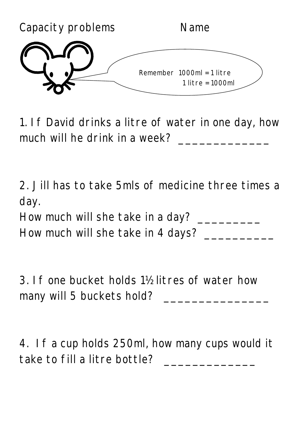

1. If David drinks a litre of water in one day, how much will he drink in a week? \_\_\_\_\_\_\_\_\_\_\_\_\_

2. Jill has to take 5mls of medicine three times a day.

How much will she take in a day? \_\_\_\_\_\_\_\_\_\_\_\_\_\_\_

How much will she take in 4 days? \_\_\_\_\_\_\_\_\_\_

3. If one bucket holds 1½ litres of water how many will 5 buckets hold? \_\_\_\_\_\_\_\_\_\_\_\_\_\_\_

4. If a cup holds 250ml, how many cups would it take to fill a litre bottle? \_\_\_\_\_\_\_\_\_\_\_\_\_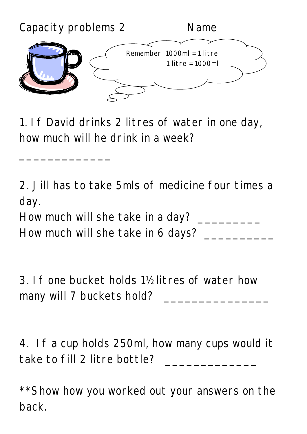

1. If David drinks 2 litres of water in one day, how much will he drink in a week?

2. Jill has to take 5mls of medicine four times a day.

How much will she take in a day? \_\_\_\_\_\_\_\_\_

How much will she take in 6 days? \_\_\_\_\_\_\_\_\_\_

 $\frac{1}{2}$  ,  $\frac{1}{2}$  ,  $\frac{1}{2}$  ,  $\frac{1}{2}$  ,  $\frac{1}{2}$  ,  $\frac{1}{2}$  ,  $\frac{1}{2}$  ,  $\frac{1}{2}$ 

3. If one bucket holds 1½ litres of water how many will 7 buckets hold? \_\_\_\_\_\_\_\_\_\_\_\_\_\_\_

4. If a cup holds 250ml, how many cups would it take to fill 2 litre bottle?

\*\* Show how you worked out your answers on the back.